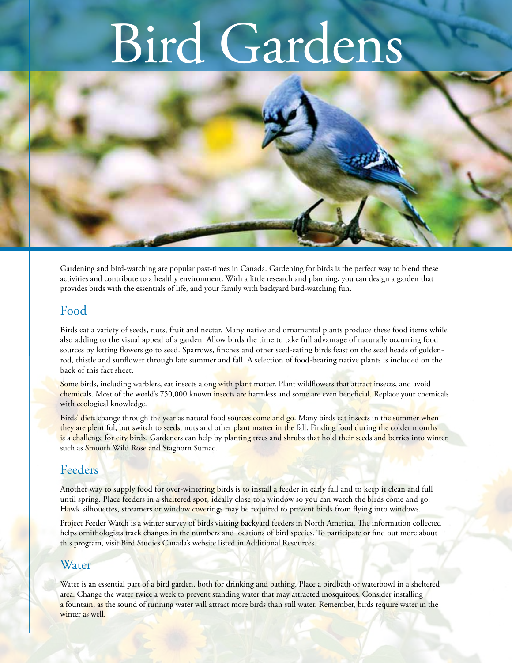# Bird Gardens



Gardening and bird-watching are popular past-times in Canada. Gardening for birds is the perfect way to blend these activities and contribute to a healthy environment. With a little research and planning, you can design a garden that provides birds with the essentials of life, and your family with backyard bird-watching fun.

### Food

Birds eat a variety of seeds, nuts, fruit and nectar. Many native and ornamental plants produce these food items while also adding to the visual appeal of a garden. Allow birds the time to take full advantage of naturally occurring food sources by letting flowers go to seed. Sparrows, finches and other seed-eating birds feast on the seed heads of goldenrod, thistle and sunflower through late summer and fall. A selection of food-bearing native plants is included on the back of this fact sheet.

Some birds, including warblers, eat insects along with plant matter. Plant wildflowers that attract insects, and avoid chemicals. Most of the world's 750,000 known insects are harmless and some are even beneficial. Replace your chemicals with ecological knowledge.

Birds' diets change through the year as natural food sources come and go. Many birds eat insects in the summer when they are plentiful, but switch to seeds, nuts and other plant matter in the fall. Finding food during the colder months is a challenge for city birds. Gardeners can help by planting trees and shrubs that hold their seeds and berries into winter, such as Smooth Wild Rose and Staghorn Sumac.

# Feeders

Another way to supply food for over-wintering birds is to install a feeder in early fall and to keep it clean and full until spring. Place feeders in a sheltered spot, ideally close to a window so you can watch the birds come and go. Hawk silhouettes, streamers or window coverings may be required to prevent birds from flying into windows.

Project Feeder Watch is a winter survey of birds visiting backyard feeders in North America. The information collected helps ornithologists track changes in the numbers and locations of bird species. To participate or find out more about this program, visit Bird Studies Canada's website listed in Additional Resources.

## Water

Water is an essential part of a bird garden, both for drinking and bathing. Place a birdbath or waterbowl in a sheltered area. Change the water twice a week to prevent standing water that may attracted mosquitoes. Consider installing a fountain, as the sound of running water will attract more birds than still water. Remember, birds require water in the winter as well.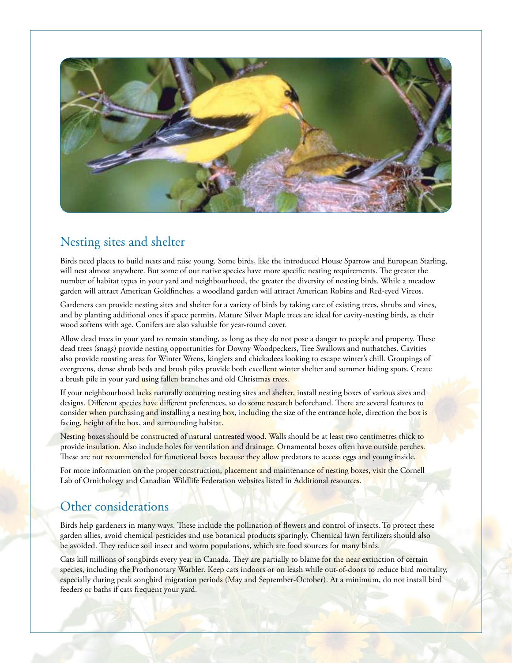

# Nesting sites and shelter

Birds need places to build nests and raise young. Some birds, like the introduced House Sparrow and European Starling, will nest almost anywhere. But some of our native species have more specific nesting requirements. The greater the number of habitat types in your yard and neighbourhood, the greater the diversity of nesting birds. While a meadow garden will attract American Goldfinches, a woodland garden will attract American Robins and Red-eyed Vireos.

Gardeners can provide nesting sites and shelter for a variety of birds by taking care of existing trees, shrubs and vines, and by planting additional ones if space permits. Mature Silver Maple trees are ideal for cavity-nesting birds, as their wood softens with age. Conifers are also valuable for year-round cover.

Allow dead trees in your yard to remain standing, as long as they do not pose a danger to people and property. These dead trees (snags) provide nesting opportunities for Downy Woodpeckers, Tree Swallows and nuthatches. Cavities also provide roosting areas for Winter Wrens, kinglets and chickadees looking to escape winter's chill. Groupings of evergreens, dense shrub beds and brush piles provide both excellent winter shelter and summer hiding spots. Create a brush pile in your yard using fallen branches and old Christmas trees.

If your neighbourhood lacks naturally occurring nesting sites and shelter, install nesting boxes of various sizes and designs. Different species have different preferences, so do some research beforehand. There are several features to consider when purchasing and installing a nesting box, including the size of the entrance hole, direction the box is facing, height of the box, and surrounding habitat.

Nesting boxes should be constructed of natural untreated wood. Walls should be at least two centimetres thick to provide insulation. Also include holes for ventilation and drainage. Ornamental boxes often have outside perches. These are not recommended for functional boxes because they allow predators to access eggs and young inside.

For more information on the proper construction, placement and maintenance of nesting boxes, visit the Cornell Lab of Ornithology and Canadian Wildlife Federation websites listed in Additional resources.

## Other considerations

Birds help gardeners in many ways. These include the pollination of flowers and control of insects. To protect these garden allies, avoid chemical pesticides and use botanical products sparingly. Chemical lawn fertilizers should also be avoided. They reduce soil insect and worm populations, which are food sources for many birds.

Cats kill millions of songbirds every year in Canada. They are partially to blame for the near extinction of certain species, including the Prothonotary Warbler. Keep cats indoors or on leash while out-of-doors to reduce bird mortality, especially during peak songbird migration periods (May and September-October). At a minimum, do not install bird feeders or baths if cats frequent your yard.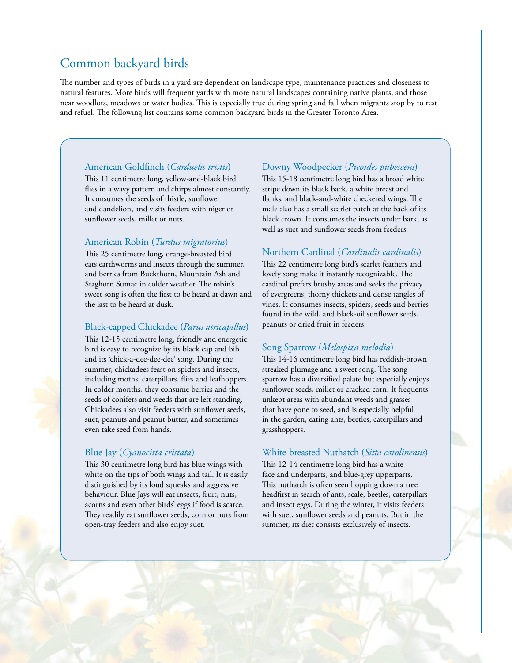# Common backyard birds

The number and types of birds in a yard are dependent on landscape type, maintenance practices and closeness to natural features. More birds will frequent yards with more natural landscapes containing native plants, and those near woodlots, meadows or water bodies. This is especially true during spring and fall when migrants stop by to rest and refuel. The following list contains some common backyard birds in the Greater Toronto Area.

#### American Goldfinch (*Carduelis tristis*)

This 11 centimetre long, yellow-and-black bird flies in a wavy pattern and chirps almost constantly. It consumes the seeds of thistle, sunflower and dandelion, and visits feeders with niger or sunflower seeds, millet or nuts.

#### American Robin (*Turdus migratorius*)

This 25 centimetre long, orange-breasted bird eats earthworms and insects through the summer, and berries from Buckthorn, Mountain Ash and Staghorn Sumac in colder weather. The robin's sweet song is often the first to be heard at dawn and the last to be heard at dusk.

#### Black-capped Chickadee (*Parus atricapillus*)

This 12-15 centimetre long, friendly and energetic bird is easy to recognize by its black cap and bib and its 'chick-a-dee-dee-dee' song. During the summer, chickadees feast on spiders and insects, including moths, caterpillars, flies and leafhoppers. In colder months, they consume berries and the seeds of conifers and weeds that are left standing. Chickadees also visit feeders with sunflower seeds, suet, peanuts and peanut butter, and sometimes even take seed from hands.

#### Blue Jay (*Cyanocitta cristata*)

This 30 centimetre long bird has blue wings with white on the tips of both wings and tail. It is easily distinguished by its loud squeaks and aggressive behaviour. Blue Jays will eat insects, fruit, nuts, acorns and even other birds' eggs if food is scarce. They readily eat sunflower seeds, corn or nuts from open-tray feeders and also enjoy suet.

#### Downy Woodpecker (*Picoides pubescens*)

This 15-18 centimetre long bird has a broad white stripe down its black back, a white breast and flanks, and black-and-white checkered wings. The male also has a small scarlet patch at the back of its black crown. It consumes the insects under bark, as well as suet and sunflower seeds from feeders.

#### Northern Cardinal (*Cardinalis cardinalis*)

This 22 centimetre long bird's scarlet feathers and lovely song make it instantly recognizable. The cardinal prefers brushy areas and seeks the privacy of evergreens, thorny thickets and dense tangles of vines. It consumes insects, spiders, seeds and berries found in the wild, and black-oil sunflower seeds, peanuts or dried fruit in feeders.

#### Song Sparrow (*Melospiza melodia*)

This 14-16 centimetre long bird has reddish-brown streaked plumage and a sweet song. The song sparrow has a diversified palate but especially enjoys sunflower seeds, millet or cracked corn. It frequents unkept areas with abundant weeds and grasses that have gone to seed, and is especially helpful in the garden, eating ants, beetles, caterpillars and grasshoppers.

#### White-breasted Nuthatch (*Sitta carolinensis*)

This 12-14 centimetre long bird has a white face and underparts, and blue-grey upperparts. This nuthatch is often seen hopping down a tree headfirst in search of ants, scale, beetles, caterpillars and insect eggs. During the winter, it visits feeders with suet, sunflower seeds and peanuts. But in the summer, its diet consists exclusively of insects.